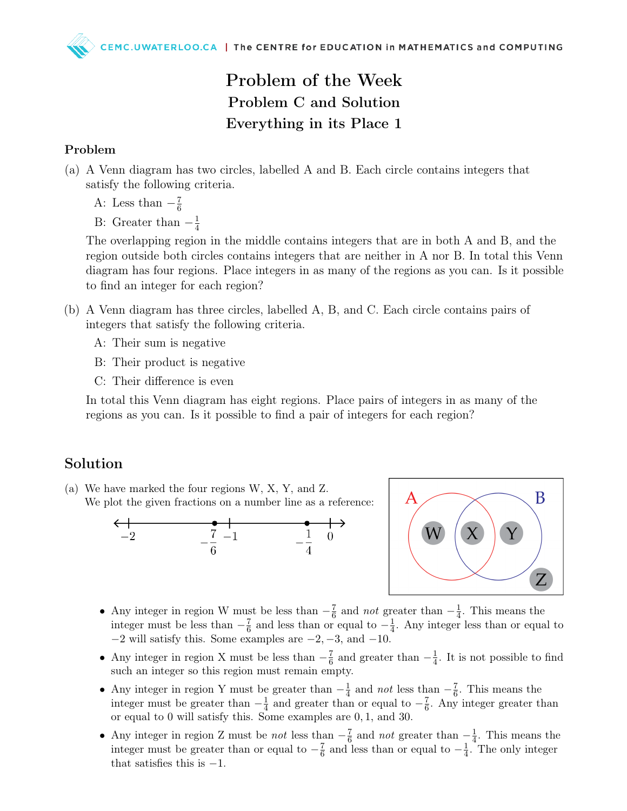## Problem of the Week Problem C and Solution Everything in its Place 1

## Problem

- (a) A Venn diagram has two circles, labelled A and B. Each circle contains integers that satisfy the following criteria.
	- A: Less than  $-\frac{7}{6}$ 6
	- B: Greater than  $-\frac{1}{4}$ 4

The overlapping region in the middle contains integers that are in both A and B, and the region outside both circles contains integers that are neither in A nor B. In total this Venn diagram has four regions. Place integers in as many of the regions as you can. Is it possible to find an integer for each region?

- (b) A Venn diagram has three circles, labelled A, B, and C. Each circle contains pairs of integers that satisfy the following criteria.
	- A: Their sum is negative
	- B: Their product is negative
	- C: Their difference is even

In total this Venn diagram has eight regions. Place pairs of integers in as many of the regions as you can. Is it possible to find a pair of integers for each region?

## Solution

(a) We have marked the four regions W, X, Y, and Z. We plot the given fractions on a number line as a reference:





- Any integer in region W must be less than  $-\frac{7}{6}$  $rac{7}{6}$  and *not* greater than  $-\frac{1}{4}$  $\frac{1}{4}$ . This means the integer must be less than  $-\frac{7}{6}$  $\frac{7}{6}$  and less than or equal to  $-\frac{1}{4}$  $\frac{1}{4}$ . Any integer less than or equal to  $-2$  will satisfy this. Some examples are  $-2$ ,  $-3$ , and  $-10$ .
- Any integer in region X must be less than  $-\frac{7}{6}$  $\frac{7}{6}$  and greater than  $-\frac{1}{4}$  $\frac{1}{4}$ . It is not possible to find such an integer so this region must remain empty.
- Any integer in region Y must be greater than  $-\frac{1}{4}$  $\frac{1}{4}$  and *not* less than  $-\frac{7}{6}$  $\frac{7}{6}$ . This means the integer must be greater than  $-\frac{1}{4}$  $\frac{1}{4}$  and greater than or equal to  $-\frac{7}{6}$  $\frac{7}{6}$ . Any integer greater than or equal to 0 will satisfy this. Some examples are 0, 1, and 30.
- Any integer in region Z must be *not* less than  $-\frac{7}{6}$  $rac{7}{6}$  and *not* greater than  $-\frac{1}{4}$  $\frac{1}{4}$ . This means the integer must be greater than or equal to  $-\frac{7}{6}$  $\frac{7}{6}$  and less than or equal to  $-\frac{1}{4}$  $\frac{1}{4}$ . The only integer that satisfies this is  $-1$ .